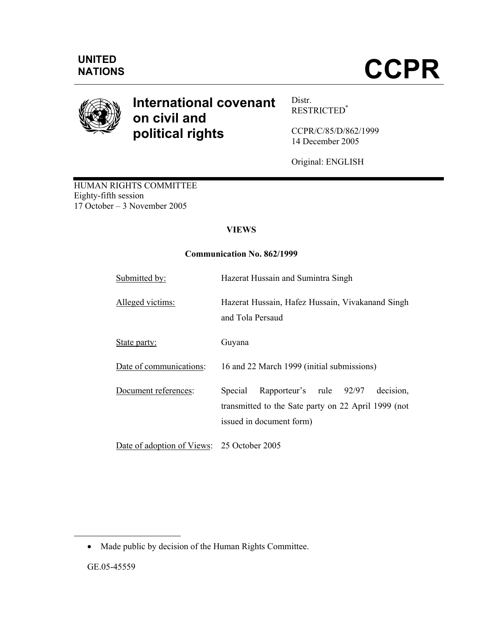

# **International covenant on civil and political rights**

Distr. RESTRICTED\*

CCPR/C/85/D/862/1999 14 December 2005

Original: ENGLISH

HUMAN RIGHTS COMMITTEE Eighty-fifth session 17 October – 3 November 2005

## **VIEWS**

## **Communication No. 862/1999**

| Submitted by:                              | Hazerat Hussain and Sumintra Singh                                                                                                 |
|--------------------------------------------|------------------------------------------------------------------------------------------------------------------------------------|
| Alleged victims:                           | Hazerat Hussain, Hafez Hussain, Vivakanand Singh<br>and Tola Persaud                                                               |
| State party:                               | Guyana                                                                                                                             |
| Date of communications:                    | 16 and 22 March 1999 (initial submissions)                                                                                         |
| Document references:                       | Rapporteur's rule 92/97<br>decision.<br>Special<br>transmitted to the Sate party on 22 April 1999 (not<br>issued in document form) |
| Date of adoption of Views: 25 October 2005 |                                                                                                                                    |

• Made public by decision of the Human Rights Committee.

-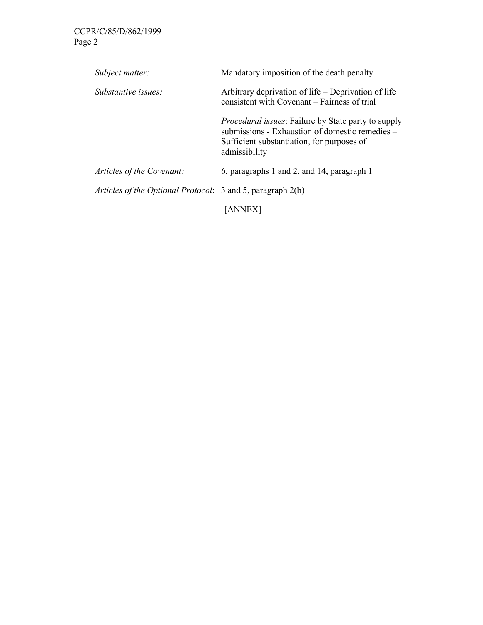| Subject matter:                                            | Mandatory imposition of the death penalty                                                                                                                                    |
|------------------------------------------------------------|------------------------------------------------------------------------------------------------------------------------------------------------------------------------------|
| <i>Substantive issues:</i>                                 | Arbitrary deprivation of life – Deprivation of life<br>consistent with Covenant – Fairness of trial                                                                          |
|                                                            | <i>Procedural issues:</i> Failure by State party to supply<br>submissions - Exhaustion of domestic remedies –<br>Sufficient substantiation, for purposes of<br>admissibility |
| Articles of the Covenant:                                  | 6, paragraphs 1 and 2, and 14, paragraph 1                                                                                                                                   |
| Articles of the Optional Protocol: 3 and 5, paragraph 2(b) |                                                                                                                                                                              |
|                                                            | IANNEX                                                                                                                                                                       |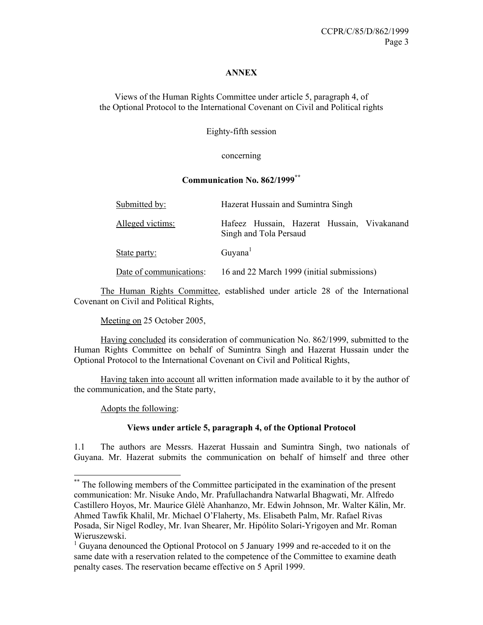#### **ANNEX**

Views of the Human Rights Committee under article 5, paragraph 4, of the Optional Protocol to the International Covenant on Civil and Political rights

Eighty-fifth session

#### concerning

## **Communication No. 862/1999\*\***

| Submitted by:           | Hazerat Hussain and Sumintra Singh                                    |
|-------------------------|-----------------------------------------------------------------------|
| Alleged victims:        | Hafeez Hussain, Hazerat Hussain, Vivakanand<br>Singh and Tola Persaud |
| State party:            | Guyana <sup>1</sup>                                                   |
| Date of communications: | 16 and 22 March 1999 (initial submissions)                            |

 The Human Rights Committee, established under article 28 of the International Covenant on Civil and Political Rights,

Meeting on 25 October 2005,

 Having concluded its consideration of communication No. 862/1999, submitted to the Human Rights Committee on behalf of Sumintra Singh and Hazerat Hussain under the Optional Protocol to the International Covenant on Civil and Political Rights,

 Having taken into account all written information made available to it by the author of the communication, and the State party,

Adopts the following:

-

## **Views under article 5, paragraph 4, of the Optional Protocol**

1.1 The authors are Messrs. Hazerat Hussain and Sumintra Singh, two nationals of Guyana. Mr. Hazerat submits the communication on behalf of himself and three other

<sup>\*\*</sup> The following members of the Committee participated in the examination of the present communication: Mr. Nisuke Ando, Mr. Prafullachandra Natwarlal Bhagwati, Mr. Alfredo Castillero Hoyos, Mr. Maurice Glèlè Ahanhanzo, Mr. Edwin Johnson, Mr. Walter Kälin, Mr. Ahmed Tawfik Khalil, Mr. Michael O'Flaherty, Ms. Elisabeth Palm, Mr. Rafael Rivas Posada, Sir Nigel Rodley, Mr. Ivan Shearer, Mr. Hipólito Solari-Yrigoyen and Mr. Roman Wieruszewski.

<sup>&</sup>lt;sup>1</sup> Guyana denounced the Optional Protocol on 5 January 1999 and re-acceded to it on the same date with a reservation related to the competence of the Committee to examine death penalty cases. The reservation became effective on 5 April 1999.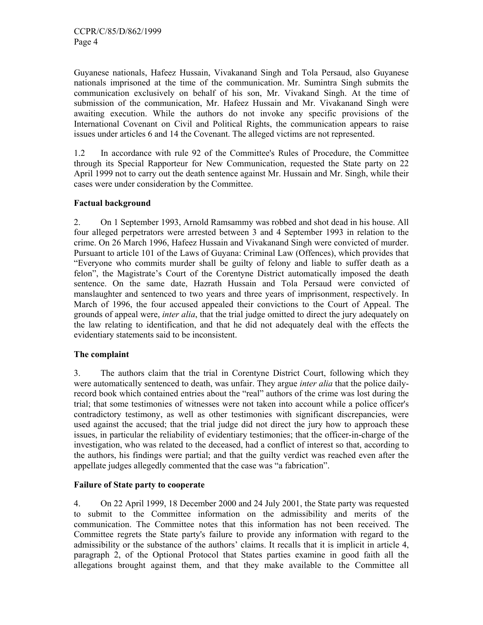Guyanese nationals, Hafeez Hussain, Vivakanand Singh and Tola Persaud, also Guyanese nationals imprisoned at the time of the communication. Mr. Sumintra Singh submits the communication exclusively on behalf of his son, Mr. Vivakand Singh. At the time of submission of the communication, Mr. Hafeez Hussain and Mr. Vivakanand Singh were awaiting execution. While the authors do not invoke any specific provisions of the International Covenant on Civil and Political Rights, the communication appears to raise issues under articles 6 and 14 the Covenant. The alleged victims are not represented.

1.2 In accordance with rule 92 of the Committee's Rules of Procedure, the Committee through its Special Rapporteur for New Communication, requested the State party on 22 April 1999 not to carry out the death sentence against Mr. Hussain and Mr. Singh, while their cases were under consideration by the Committee.

#### **Factual background**

2. On 1 September 1993, Arnold Ramsammy was robbed and shot dead in his house. All four alleged perpetrators were arrested between 3 and 4 September 1993 in relation to the crime. On 26 March 1996, Hafeez Hussain and Vivakanand Singh were convicted of murder. Pursuant to article 101 of the Laws of Guyana: Criminal Law (Offences), which provides that "Everyone who commits murder shall be guilty of felony and liable to suffer death as a felon", the Magistrate's Court of the Corentyne District automatically imposed the death sentence. On the same date, Hazrath Hussain and Tola Persaud were convicted of manslaughter and sentenced to two years and three years of imprisonment, respectively. In March of 1996, the four accused appealed their convictions to the Court of Appeal. The grounds of appeal were, *inter alia*, that the trial judge omitted to direct the jury adequately on the law relating to identification, and that he did not adequately deal with the effects the evidentiary statements said to be inconsistent.

#### **The complaint**

3. The authors claim that the trial in Corentyne District Court, following which they were automatically sentenced to death, was unfair. They argue *inter alia* that the police dailyrecord book which contained entries about the "real" authors of the crime was lost during the trial; that some testimonies of witnesses were not taken into account while a police officer's contradictory testimony, as well as other testimonies with significant discrepancies, were used against the accused; that the trial judge did not direct the jury how to approach these issues, in particular the reliability of evidentiary testimonies; that the officer-in-charge of the investigation, who was related to the deceased, had a conflict of interest so that, according to the authors, his findings were partial; and that the guilty verdict was reached even after the appellate judges allegedly commented that the case was "a fabrication".

## **Failure of State party to cooperate**

4. On 22 April 1999, 18 December 2000 and 24 July 2001, the State party was requested to submit to the Committee information on the admissibility and merits of the communication. The Committee notes that this information has not been received. The Committee regrets the State party's failure to provide any information with regard to the admissibility or the substance of the authors' claims. It recalls that it is implicit in article 4, paragraph 2, of the Optional Protocol that States parties examine in good faith all the allegations brought against them, and that they make available to the Committee all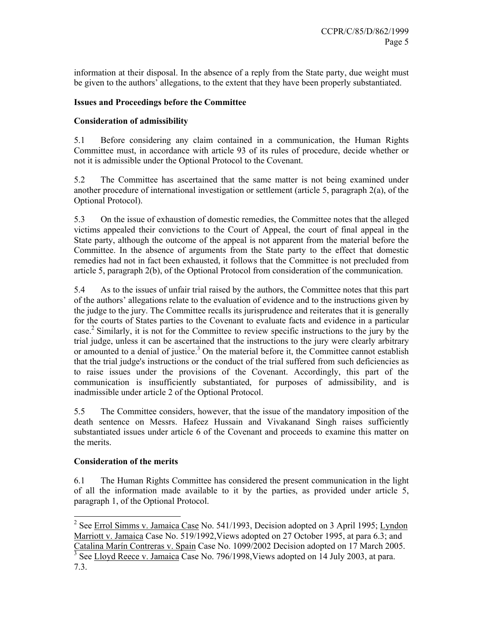information at their disposal. In the absence of a reply from the State party, due weight must be given to the authors' allegations, to the extent that they have been properly substantiated.

## **Issues and Proceedings before the Committee**

## **Consideration of admissibility**

5.1 Before considering any claim contained in a communication, the Human Rights Committee must, in accordance with article 93 of its rules of procedure, decide whether or not it is admissible under the Optional Protocol to the Covenant.

5.2 The Committee has ascertained that the same matter is not being examined under another procedure of international investigation or settlement (article 5, paragraph 2(a), of the Optional Protocol).

5.3 On the issue of exhaustion of domestic remedies, the Committee notes that the alleged victims appealed their convictions to the Court of Appeal, the court of final appeal in the State party, although the outcome of the appeal is not apparent from the material before the Committee. In the absence of arguments from the State party to the effect that domestic remedies had not in fact been exhausted, it follows that the Committee is not precluded from article 5, paragraph 2(b), of the Optional Protocol from consideration of the communication.

5.4 As to the issues of unfair trial raised by the authors, the Committee notes that this part of the authors' allegations relate to the evaluation of evidence and to the instructions given by the judge to the jury. The Committee recalls its jurisprudence and reiterates that it is generally for the courts of States parties to the Covenant to evaluate facts and evidence in a particular case.<sup>2</sup> Similarly, it is not for the Committee to review specific instructions to the jury by the trial judge, unless it can be ascertained that the instructions to the jury were clearly arbitrary or amounted to a denial of justice.<sup>3</sup> On the material before it, the Committee cannot establish that the trial judge's instructions or the conduct of the trial suffered from such deficiencies as to raise issues under the provisions of the Covenant. Accordingly, this part of the communication is insufficiently substantiated, for purposes of admissibility, and is inadmissible under article 2 of the Optional Protocol.

5.5 The Committee considers, however, that the issue of the mandatory imposition of the death sentence on Messrs. Hafeez Hussain and Vivakanand Singh raises sufficiently substantiated issues under article 6 of the Covenant and proceeds to examine this matter on the merits.

## **Consideration of the merits**

6.1 The Human Rights Committee has considered the present communication in the light of all the information made available to it by the parties, as provided under article 5, paragraph 1, of the Optional Protocol.

<sup>&</sup>lt;sup>2</sup> See Errol Simms v. Jamaica Case No. 541/1993, Decision adopted on 3 April 1995; Lyndon Marriott v. Jamaica Case No. 519/1992,Views adopted on 27 October 1995, at para 6.3; and Catalina Marín Contreras v. Spain Case No. 1099/2002 Decision adopted on 17 March 2005. 3 See Lloyd Reece v. Jamaica Case No. 796/1998,Views adopted on 14 July 2003, at para.

<sup>7.3.</sup>